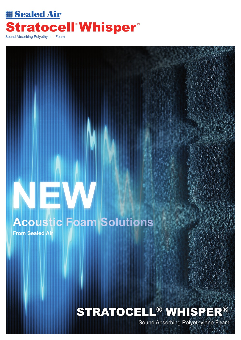## **EB** Sealed Air Stratocell<sup>®</sup> Whisper® Sound Absorbing Polyethylene Foam

# **Acoustic Foam Solutions**

**From Sealed Air**

**NEW**

# STRATOCELL® WHISPER®

Sound Absorbing Polyethylene Foam